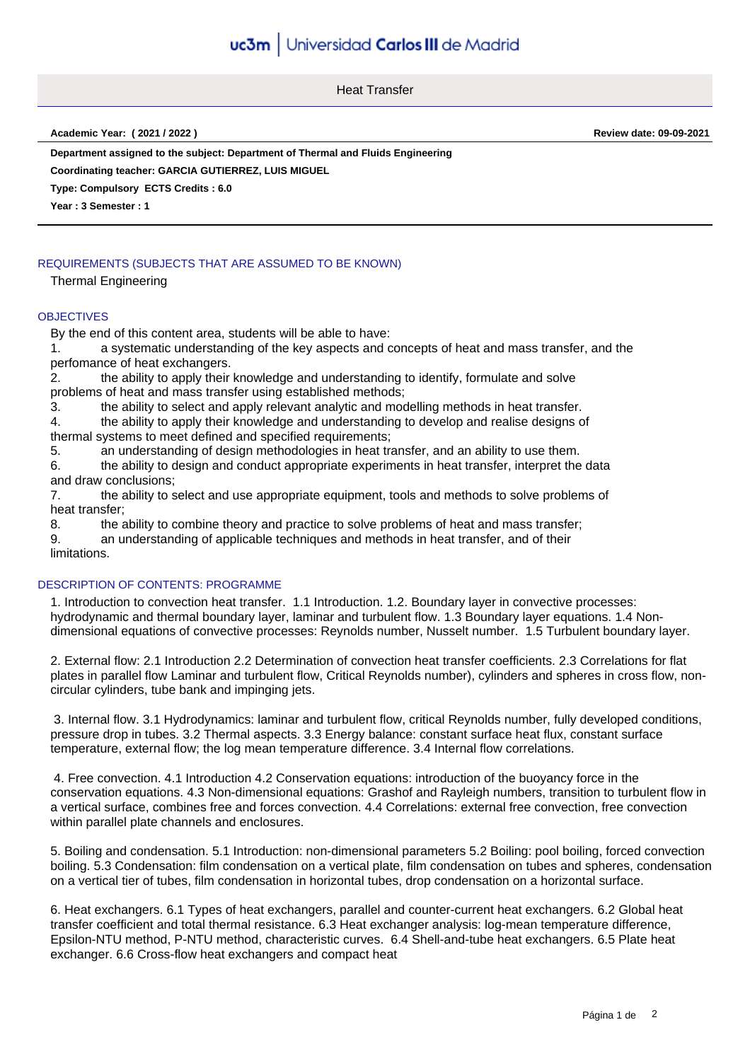Heat Transfer

**Academic Year: ( 2021 / 2022 ) Review date: 09-09-2021**

**Department assigned to the subject: Department of Thermal and Fluids Engineering**

**Coordinating teacher: GARCIA GUTIERREZ, LUIS MIGUEL**

**Type: Compulsory ECTS Credits : 6.0**

**Year : 3 Semester : 1**

## REQUIREMENTS (SUBJECTS THAT ARE ASSUMED TO BE KNOWN)

Thermal Engineering

#### **OBJECTIVES**

By the end of this content area, students will be able to have:

1. a systematic understanding of the key aspects and concepts of heat and mass transfer, and the perfomance of heat exchangers.

2. the ability to apply their knowledge and understanding to identify, formulate and solve problems of heat and mass transfer using established methods;

3. the ability to select and apply relevant analytic and modelling methods in heat transfer.

4. the ability to apply their knowledge and understanding to develop and realise designs of thermal systems to meet defined and specified requirements;

5. an understanding of design methodologies in heat transfer, and an ability to use them.

6. the ability to design and conduct appropriate experiments in heat transfer, interpret the data and draw conclusions;

7. the ability to select and use appropriate equipment, tools and methods to solve problems of heat transfer;

8. the ability to combine theory and practice to solve problems of heat and mass transfer;

9. an understanding of applicable techniques and methods in heat transfer, and of their limitations.

### DESCRIPTION OF CONTENTS: PROGRAMME

1. Introduction to convection heat transfer. 1.1 Introduction. 1.2. Boundary layer in convective processes: hydrodynamic and thermal boundary layer, laminar and turbulent flow. 1.3 Boundary layer equations. 1.4 Nondimensional equations of convective processes: Reynolds number, Nusselt number. 1.5 Turbulent boundary layer.

2. External flow: 2.1 Introduction 2.2 Determination of convection heat transfer coefficients. 2.3 Correlations for flat plates in parallel flow Laminar and turbulent flow, Critical Reynolds number), cylinders and spheres in cross flow, noncircular cylinders, tube bank and impinging jets.

 3. Internal flow. 3.1 Hydrodynamics: laminar and turbulent flow, critical Reynolds number, fully developed conditions, pressure drop in tubes. 3.2 Thermal aspects. 3.3 Energy balance: constant surface heat flux, constant surface temperature, external flow; the log mean temperature difference. 3.4 Internal flow correlations.

 4. Free convection. 4.1 Introduction 4.2 Conservation equations: introduction of the buoyancy force in the conservation equations. 4.3 Non-dimensional equations: Grashof and Rayleigh numbers, transition to turbulent flow in a vertical surface, combines free and forces convection. 4.4 Correlations: external free convection, free convection within parallel plate channels and enclosures.

5. Boiling and condensation. 5.1 Introduction: non-dimensional parameters 5.2 Boiling: pool boiling, forced convection boiling. 5.3 Condensation: film condensation on a vertical plate, film condensation on tubes and spheres, condensation on a vertical tier of tubes, film condensation in horizontal tubes, drop condensation on a horizontal surface.

6. Heat exchangers. 6.1 Types of heat exchangers, parallel and counter-current heat exchangers. 6.2 Global heat transfer coefficient and total thermal resistance. 6.3 Heat exchanger analysis: log-mean temperature difference, Epsilon-NTU method, P-NTU method, characteristic curves. 6.4 Shell-and-tube heat exchangers. 6.5 Plate heat exchanger. 6.6 Cross-flow heat exchangers and compact heat